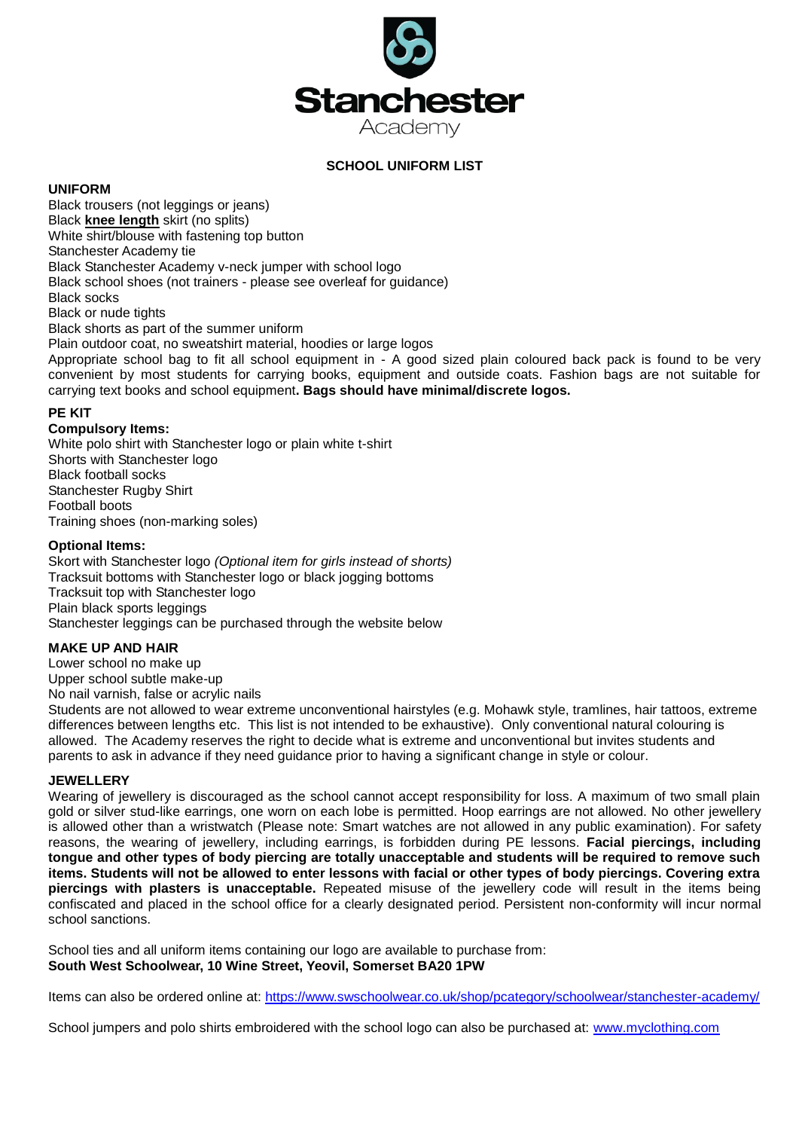

# **SCHOOL UNIFORM LIST**

## **UNIFORM**

Black trousers (not leggings or jeans) Black **knee length** skirt (no splits) White shirt/blouse with fastening top button Stanchester Academy tie Black Stanchester Academy v-neck jumper with school logo Black school shoes (not trainers - please see overleaf for guidance) Black socks Black or nude tights Black shorts as part of the summer uniform Plain outdoor coat, no sweatshirt material, hoodies or large logos

Appropriate school bag to fit all school equipment in - A good sized plain coloured back pack is found to be very convenient by most students for carrying books, equipment and outside coats. Fashion bags are not suitable for carrying text books and school equipment**. Bags should have minimal/discrete logos.**

### **PE KIT**

#### **Compulsory Items:**

White polo shirt with Stanchester logo or plain white t-shirt Shorts with Stanchester logo Black football socks Stanchester Rugby Shirt Football boots Training shoes (non-marking soles)

### **Optional Items:**

Skort with Stanchester logo *(Optional item for girls instead of shorts)* Tracksuit bottoms with Stanchester logo or black jogging bottoms Tracksuit top with Stanchester logo Plain black sports leggings Stanchester leggings can be purchased through the website below

# **MAKE UP AND HAIR**

Lower school no make up Upper school subtle make-up No nail varnish, false or acrylic nails

Students are not allowed to wear extreme unconventional hairstyles (e.g. Mohawk style, tramlines, hair tattoos, extreme differences between lengths etc. This list is not intended to be exhaustive). Only conventional natural colouring is allowed. The Academy reserves the right to decide what is extreme and unconventional but invites students and parents to ask in advance if they need guidance prior to having a significant change in style or colour.

#### **JEWELLERY**

Wearing of jewellery is discouraged as the school cannot accept responsibility for loss. A maximum of two small plain gold or silver stud-like earrings, one worn on each lobe is permitted. Hoop earrings are not allowed. No other jewellery is allowed other than a wristwatch (Please note: Smart watches are not allowed in any public examination). For safety reasons, the wearing of jewellery, including earrings, is forbidden during PE lessons. **Facial piercings, including tongue and other types of body piercing are totally unacceptable and students will be required to remove such items. Students will not be allowed to enter lessons with facial or other types of body piercings. Covering extra piercings with plasters is unacceptable.** Repeated misuse of the jewellery code will result in the items being confiscated and placed in the school office for a clearly designated period. Persistent non-conformity will incur normal school sanctions.

School ties and all uniform items containing our logo are available to purchase from: **South West Schoolwear, 10 Wine Street, Yeovil, Somerset BA20 1PW**

Items can also be ordered online at:<https://www.swschoolwear.co.uk/shop/pcategory/schoolwear/stanchester-academy/>

School jumpers and polo shirts embroidered with the school logo can also be purchased at: [www.myclothing.com](http://www.myclothing.com/)